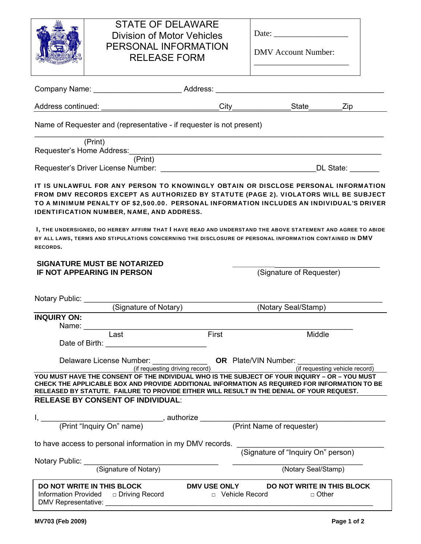# STATE OF DELAWARE Division of Motor Vehicles PERSONAL INFORMATION RELEASE FORM

| Date: |  |
|-------|--|
|       |  |

DMV Account Number:

\_\_\_\_\_\_\_\_\_\_\_\_\_\_\_\_\_\_\_\_\_\_\_

| Company Name: ________________________________Address: _________________________                                                                                                                                                                                                                                                                                                                                                                         |                                         |                                            |                                |
|----------------------------------------------------------------------------------------------------------------------------------------------------------------------------------------------------------------------------------------------------------------------------------------------------------------------------------------------------------------------------------------------------------------------------------------------------------|-----------------------------------------|--------------------------------------------|--------------------------------|
|                                                                                                                                                                                                                                                                                                                                                                                                                                                          | $City$ <sub>__</sub>                    | State                                      | Zip                            |
| Name of Requester and (representative - if requester is not present)                                                                                                                                                                                                                                                                                                                                                                                     |                                         |                                            |                                |
| (Print)<br>Requester's Home Address:<br>(Print)                                                                                                                                                                                                                                                                                                                                                                                                          |                                         |                                            |                                |
|                                                                                                                                                                                                                                                                                                                                                                                                                                                          |                                         |                                            | DL State:                      |
| IT IS UNLAWFUL FOR ANY PERSON TO KNOWINGLY OBTAIN OR DISCLOSE PERSONAL INFORMATION<br>FROM DMV RECORDS EXCEPT AS AUTHORIZED BY STATUTE (PAGE 2). VIOLATORS WILL BE SUBJECT<br>TO A MINIMUM PENALTY OF \$2,500.00. PERSONAL INFORMATION INCLUDES AN INDIVIDUAL'S DRIVER<br>IDENTIFICATION NUMBER, NAME, AND ADDRESS.                                                                                                                                      |                                         |                                            |                                |
| I, THE UNDERSIGNED, DO HEREBY AFFIRM THAT I HAVE READ AND UNDERSTAND THE ABOVE STATEMENT AND AGREE TO ABIDE<br>BY ALL LAWS, TERMS AND STIPULATIONS CONCERNING THE DISCLOSURE OF PERSONAL INFORMATION CONTAINED IN DMV<br><b>RECORDS.</b>                                                                                                                                                                                                                 |                                         |                                            |                                |
| <b>SIGNATURE MUST BE NOTARIZED</b><br><b>IF NOT APPEARING IN PERSON</b>                                                                                                                                                                                                                                                                                                                                                                                  |                                         | (Signature of Requester)                   |                                |
| Notary Public: Notary Public:<br>(Signature of Notary)                                                                                                                                                                                                                                                                                                                                                                                                   |                                         | (Notary Seal/Stamp)                        |                                |
| <b>INQUIRY ON:</b><br>Name: $\frac{1}{\sqrt{1-\frac{1}{2}}\cdot\sqrt{1-\frac{1}{2}}\cdot\sqrt{1-\frac{1}{2}}\cdot\sqrt{1-\frac{1}{2}}\cdot\sqrt{1-\frac{1}{2}}\cdot\sqrt{1-\frac{1}{2}}\cdot\sqrt{1-\frac{1}{2}}\cdot\sqrt{1-\frac{1}{2}}\cdot\sqrt{1-\frac{1}{2}}\cdot\sqrt{1-\frac{1}{2}}\cdot\sqrt{1-\frac{1}{2}}\cdot\sqrt{1-\frac{1}{2}}\cdot\sqrt{1-\frac{1}{2}}\cdot\sqrt{1-\frac{1}{2}}\cdot\sqrt{1-\frac{1}{2}}\cdot\sqrt{1-\frac{1}{2}}\cdot\$ |                                         |                                            |                                |
| Last<br>Date of Birth: The Contract of Birth:                                                                                                                                                                                                                                                                                                                                                                                                            | First                                   | Middle                                     |                                |
| (if requesting driving record)                                                                                                                                                                                                                                                                                                                                                                                                                           |                                         |                                            | (if requesting vehicle record) |
| YOU MUST HAVE THE CONSENT OF THE INDIVIDUAL WHO IS THE SUBJECT OF YOUR INQUIRY - OR - YOU MUST<br>CHECK THE APPLICABLE BOX AND PROVIDE ADDITIONAL INFORMATION AS REQUIRED FOR INFORMATION TO BE<br>RELEASED BY STATUTE. FAILURE TO PROVIDE EITHER WILL RESULT IN THE DENIAL OF YOUR REQUEST.                                                                                                                                                             |                                         |                                            |                                |
| <b>RELEASE BY CONSENT OF INDIVIDUAL:</b>                                                                                                                                                                                                                                                                                                                                                                                                                 |                                         |                                            |                                |
| (Print "Inquiry On" name) authorize _                                                                                                                                                                                                                                                                                                                                                                                                                    |                                         | (Print Name of requester)                  |                                |
| to have access to personal information in my DMV records.                                                                                                                                                                                                                                                                                                                                                                                                |                                         | (Signature of "Inquiry On" person)         |                                |
| Notary Public:<br>(Signature of Notary)                                                                                                                                                                                                                                                                                                                                                                                                                  |                                         |                                            |                                |
|                                                                                                                                                                                                                                                                                                                                                                                                                                                          |                                         | (Notary Seal/Stamp)                        |                                |
| DO NOT WRITE IN THIS BLOCK<br>□ Driving Record<br><b>Information Provided</b><br>DMV Representative:                                                                                                                                                                                                                                                                                                                                                     | <b>DMV USE ONLY</b><br>D Vehicle Record | DO NOT WRITE IN THIS BLOCK<br>$\Box$ Other |                                |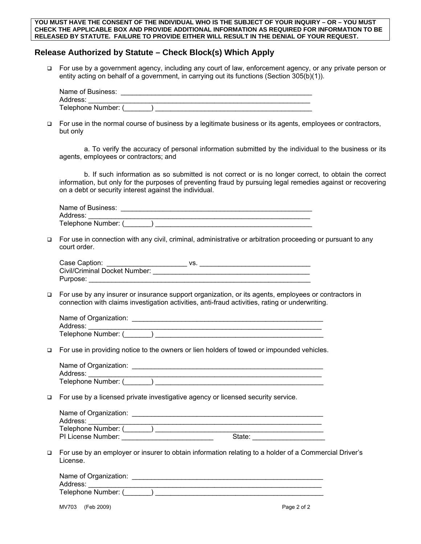#### **YOU MUST HAVE THE CONSENT OF THE INDIVIDUAL WHO IS THE SUBJECT OF YOUR INQUIRY – OR – YOU MUST CHECK THE APPLICABLE BOX AND PROVIDE ADDITIONAL INFORMATION AS REQUIRED FOR INFORMATION TO BE RELEASED BY STATUTE. FAILURE TO PROVIDE EITHER WILL RESULT IN THE DENIAL OF YOUR REQUEST.**

## **Release Authorized by Statute – Check Block(s) Which Apply**

□ For use by a government agency, including any court of law, enforcement agency, or any private person or entity acting on behalf of a government, in carrying out its functions (Section 305(b)(1)).

| Name of Business:   |  |
|---------------------|--|
| Address:            |  |
| Telephone Number: ( |  |

 For use in the normal course of business by a legitimate business or its agents, employees or contractors, but only

a. To verify the accuracy of personal information submitted by the individual to the business or its agents, employees or contractors; and

b. If such information as so submitted is not correct or is no longer correct, to obtain the correct information, but only for the purposes of preventing fraud by pursuing legal remedies against or recovering on a debt or security interest against the individual.

Name of Business: \_ Address: Telephone Number: (  $\qquad$  )

 For use in connection with any civil, criminal, administrative or arbitration proceeding or pursuant to any court order.

| Case Caption:                 | VS. |  |
|-------------------------------|-----|--|
| Civil/Criminal Docket Number: |     |  |
| Purpose:                      |     |  |

 For use by any insurer or insurance support organization, or its agents, employees or contractors in connection with claims investigation activities, anti-fraud activities, rating or underwriting.

| Name of Organization: |  |
|-----------------------|--|
| Address:              |  |
| Telephone Number: (   |  |

For use in providing notice to the owners or lien holders of towed or impounded vehicles.

| Name of Organization: |  |
|-----------------------|--|
| Address:              |  |
| Telephone Number: (   |  |

For use by a licensed private investigative agency or licensed security service.

| Name of Organization: |        |
|-----------------------|--------|
| Address:              |        |
| Telephone Number: (   |        |
| PI License Number:    | State: |

 For use by an employer or insurer to obtain information relating to a holder of a Commercial Driver's License.

| Name of Organization: |  |
|-----------------------|--|
| Address:              |  |
| Telephone Number: (   |  |